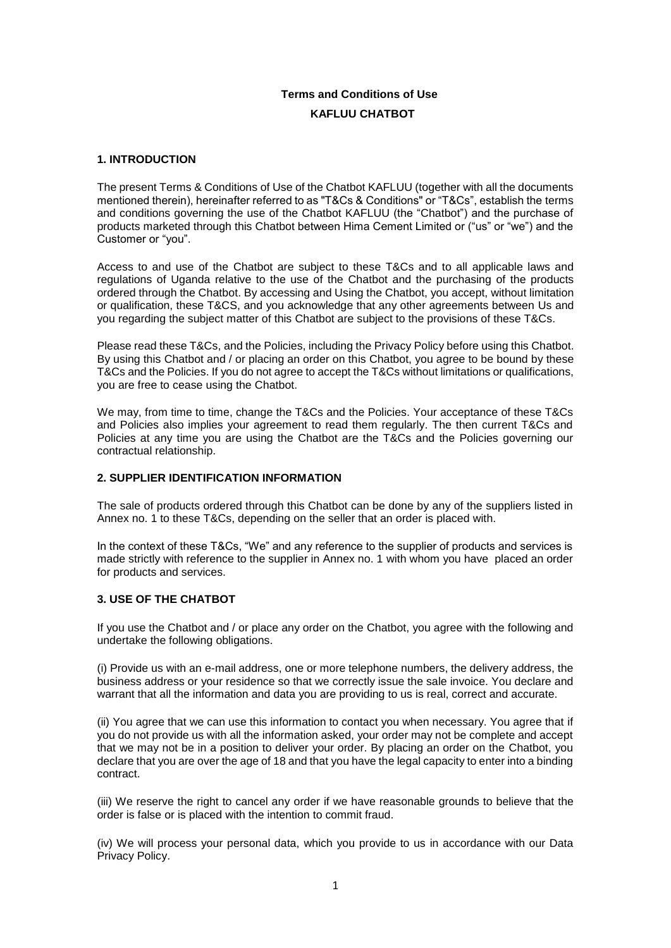# **Terms and Conditions of Use KAFLUU CHATBOT**

### **1. INTRODUCTION**

The present Terms & Conditions of Use of the Chatbot KAFLUU (together with all the documents mentioned therein), hereinafter referred to as "T&Cs & Conditions" or "T&Cs", establish the terms and conditions governing the use of the Chatbot KAFLUU (the "Chatbot") and the purchase of products marketed through this Chatbot between Hima Cement Limited or ("us" or "we") and the Customer or "you".

Access to and use of the Chatbot are subject to these T&Cs and to all applicable laws and regulations of Uganda relative to the use of the Chatbot and the purchasing of the products ordered through the Chatbot. By accessing and Using the Chatbot, you accept, without limitation or qualification, these T&CS, and you acknowledge that any other agreements between Us and you regarding the subject matter of this Chatbot are subject to the provisions of these T&Cs.

Please read these T&Cs, and the Policies, including the Privacy Policy before using this Chatbot. By using this Chatbot and / or placing an order on this Chatbot, you agree to be bound by these T&Cs and the Policies. If you do not agree to accept the T&Cs without limitations or qualifications, you are free to cease using the Chatbot.

We may, from time to time, change the T&Cs and the Policies. Your acceptance of these T&Cs and Policies also implies your agreement to read them regularly. The then current T&Cs and Policies at any time you are using the Chatbot are the T&Cs and the Policies governing our contractual relationship.

### **2. SUPPLIER IDENTIFICATION INFORMATION**

The sale of products ordered through this Chatbot can be done by any of the suppliers listed in Annex no. 1 to these T&Cs, depending on the seller that an order is placed with.

In the context of these T&Cs, "We" and any reference to the supplier of products and services is made strictly with reference to the supplier in Annex no. 1 with whom you have placed an order for products and services.

### **3. USE OF THE CHATBOT**

If you use the Chatbot and / or place any order on the Chatbot, you agree with the following and undertake the following obligations.

(i) Provide us with an e-mail address, one or more telephone numbers, the delivery address, the business address or your residence so that we correctly issue the sale invoice. You declare and warrant that all the information and data you are providing to us is real, correct and accurate.

(ii) You agree that we can use this information to contact you when necessary. You agree that if you do not provide us with all the information asked, your order may not be complete and accept that we may not be in a position to deliver your order. By placing an order on the Chatbot, you declare that you are over the age of 18 and that you have the legal capacity to enter into a binding contract.

(iii) We reserve the right to cancel any order if we have reasonable grounds to believe that the order is false or is placed with the intention to commit fraud.

(iv) We will process your personal data, which you provide to us in accordance with our Data Privacy Policy.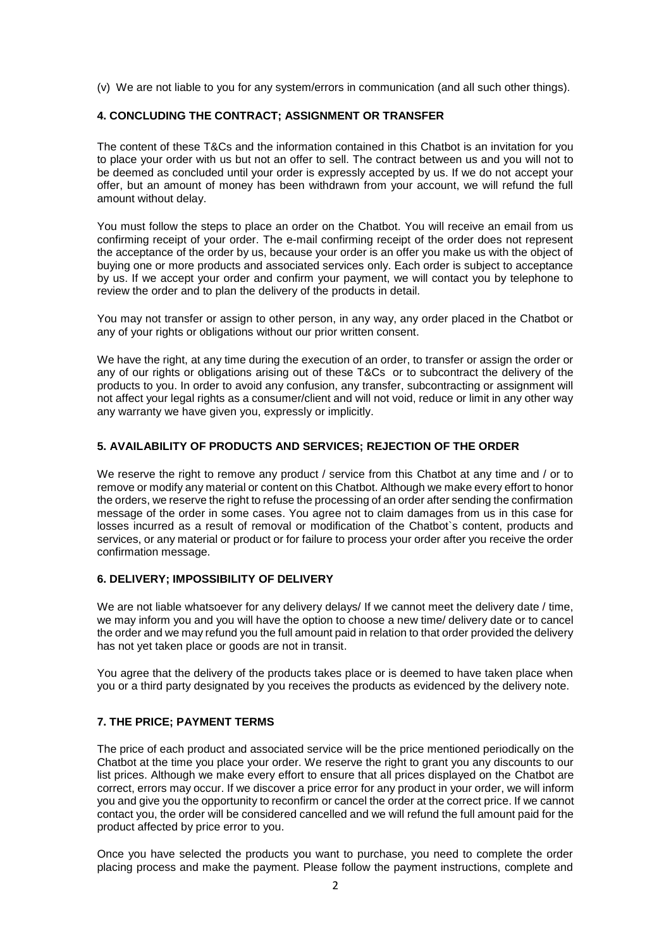(v) We are not liable to you for any system/errors in communication (and all such other things).

#### **4. CONCLUDING THE CONTRACT; ASSIGNMENT OR TRANSFER**

The content of these T&Cs and the information contained in this Chatbot is an invitation for you to place your order with us but not an offer to sell. The contract between us and you will not to be deemed as concluded until your order is expressly accepted by us. If we do not accept your offer, but an amount of money has been withdrawn from your account, we will refund the full amount without delay.

You must follow the steps to place an order on the Chatbot. You will receive an email from us confirming receipt of your order. The e-mail confirming receipt of the order does not represent the acceptance of the order by us, because your order is an offer you make us with the object of buying one or more products and associated services only. Each order is subject to acceptance by us. If we accept your order and confirm your payment, we will contact you by telephone to review the order and to plan the delivery of the products in detail.

You may not transfer or assign to other person, in any way, any order placed in the Chatbot or any of your rights or obligations without our prior written consent.

We have the right, at any time during the execution of an order, to transfer or assign the order or any of our rights or obligations arising out of these T&Cs or to subcontract the delivery of the products to you. In order to avoid any confusion, any transfer, subcontracting or assignment will not affect your legal rights as a consumer/client and will not void, reduce or limit in any other way any warranty we have given you, expressly or implicitly.

#### **5. AVAILABILITY OF PRODUCTS AND SERVICES; REJECTION OF THE ORDER**

We reserve the right to remove any product / service from this Chatbot at any time and / or to remove or modify any material or content on this Chatbot. Although we make every effort to honor the orders, we reserve the right to refuse the processing of an order after sending the confirmation message of the order in some cases. You agree not to claim damages from us in this case for losses incurred as a result of removal or modification of the Chatbot`s content, products and services, or any material or product or for failure to process your order after you receive the order confirmation message.

#### **6. DELIVERY; IMPOSSIBILITY OF DELIVERY**

We are not liable whatsoever for any delivery delays/ If we cannot meet the delivery date / time, we may inform you and you will have the option to choose a new time/ delivery date or to cancel the order and we may refund you the full amount paid in relation to that order provided the delivery has not yet taken place or goods are not in transit.

You agree that the delivery of the products takes place or is deemed to have taken place when you or a third party designated by you receives the products as evidenced by the delivery note.

### **7. THE PRICE; PAYMENT TERMS**

The price of each product and associated service will be the price mentioned periodically on the Chatbot at the time you place your order. We reserve the right to grant you any discounts to our list prices. Although we make every effort to ensure that all prices displayed on the Chatbot are correct, errors may occur. If we discover a price error for any product in your order, we will inform you and give you the opportunity to reconfirm or cancel the order at the correct price. If we cannot contact you, the order will be considered cancelled and we will refund the full amount paid for the product affected by price error to you.

Once you have selected the products you want to purchase, you need to complete the order placing process and make the payment. Please follow the payment instructions, complete and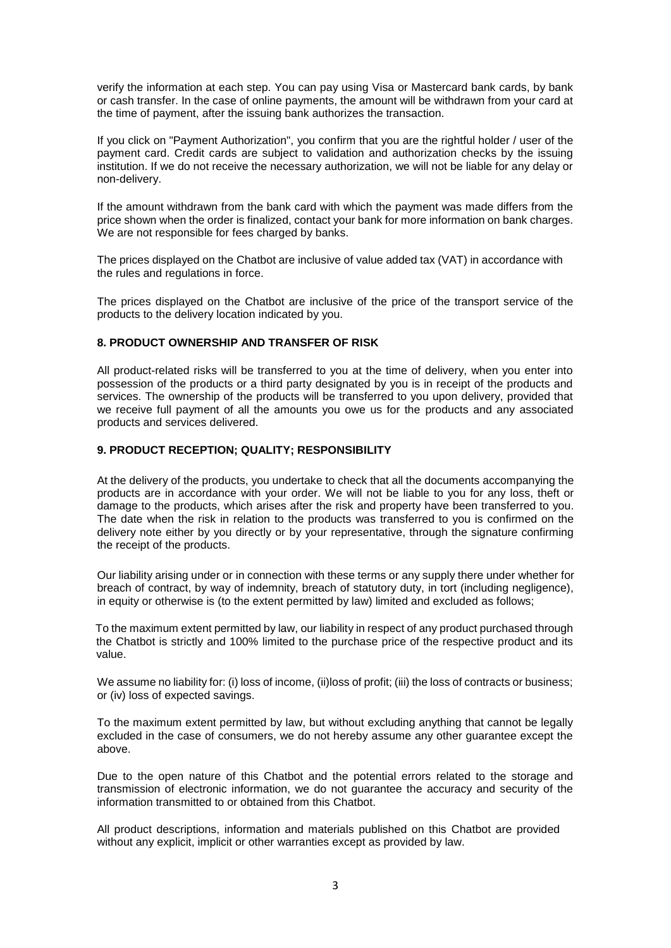verify the information at each step. You can pay using Visa or Mastercard bank cards, by bank or cash transfer. In the case of online payments, the amount will be withdrawn from your card at the time of payment, after the issuing bank authorizes the transaction.

If you click on "Payment Authorization", you confirm that you are the rightful holder / user of the payment card. Credit cards are subject to validation and authorization checks by the issuing institution. If we do not receive the necessary authorization, we will not be liable for any delay or non-delivery.

If the amount withdrawn from the bank card with which the payment was made differs from the price shown when the order is finalized, contact your bank for more information on bank charges. We are not responsible for fees charged by banks.

The prices displayed on the Chatbot are inclusive of value added tax (VAT) in accordance with the rules and regulations in force.

The prices displayed on the Chatbot are inclusive of the price of the transport service of the products to the delivery location indicated by you.

#### **8. PRODUCT OWNERSHIP AND TRANSFER OF RISK**

All product-related risks will be transferred to you at the time of delivery, when you enter into possession of the products or a third party designated by you is in receipt of the products and services. The ownership of the products will be transferred to you upon delivery, provided that we receive full payment of all the amounts you owe us for the products and any associated products and services delivered.

#### **9. PRODUCT RECEPTION; QUALITY; RESPONSIBILITY**

At the delivery of the products, you undertake to check that all the documents accompanying the products are in accordance with your order. We will not be liable to you for any loss, theft or damage to the products, which arises after the risk and property have been transferred to you. The date when the risk in relation to the products was transferred to you is confirmed on the delivery note either by you directly or by your representative, through the signature confirming the receipt of the products.

Our liability arising under or in connection with these terms or any supply there under whether for breach of contract, by way of indemnity, breach of statutory duty, in tort (including negligence), in equity or otherwise is (to the extent permitted by law) limited and excluded as follows;

To the maximum extent permitted by law, our liability in respect of any product purchased through the Chatbot is strictly and 100% limited to the purchase price of the respective product and its value.

We assume no liability for: (i) loss of income, (ii)loss of profit; (iii) the loss of contracts or business; or (iv) loss of expected savings.

To the maximum extent permitted by law, but without excluding anything that cannot be legally excluded in the case of consumers, we do not hereby assume any other guarantee except the above.

Due to the open nature of this Chatbot and the potential errors related to the storage and transmission of electronic information, we do not guarantee the accuracy and security of the information transmitted to or obtained from this Chatbot.

All product descriptions, information and materials published on this Chatbot are provided without any explicit, implicit or other warranties except as provided by law.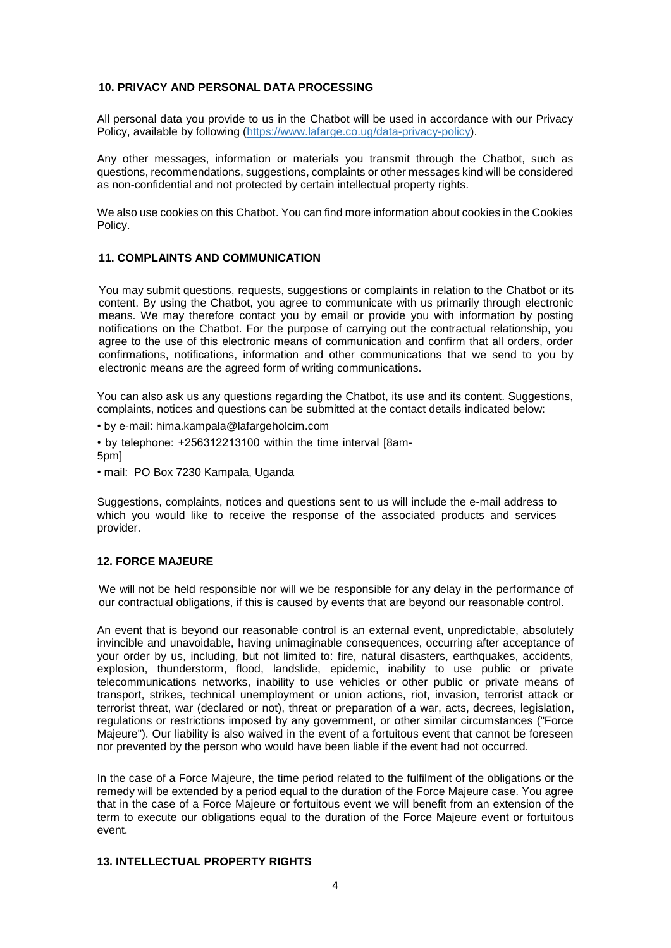### **10. PRIVACY AND PERSONAL DATA PROCESSING**

All personal data you provide to us in the Chatbot will be used in accordance with our Privacy Policy, available by following (https://www.lafarge.co.ug/data-privacy-policy).

Any other messages, information or materials you transmit through the Chatbot, such as questions, recommendations, suggestions, complaints or other messages kind will be considered as non-confidential and not protected by certain intellectual property rights.

We also use cookies on this Chatbot. You can find more information about cookies in the Cookies Policy.

#### **11. COMPLAINTS AND COMMUNICATION**

You may submit questions, requests, suggestions or complaints in relation to the Chatbot or its content. By using the Chatbot, you agree to communicate with us primarily through electronic means. We may therefore contact you by email or provide you with information by posting notifications on the Chatbot. For the purpose of carrying out the contractual relationship, you agree to the use of this electronic means of communication and confirm that all orders, order confirmations, notifications, information and other communications that we send to you by electronic means are the agreed form of writing communications.

You can also ask us any questions regarding the Chatbot, its use and its content. Suggestions, complaints, notices and questions can be submitted at the contact details indicated below:

- by e-mail: hima.kampala@lafargeholcim.com
- by telephone: +256312213100 within the time interval [8am-5pm]
- mail: PO Box 7230 Kampala, Uganda

Suggestions, complaints, notices and questions sent to us will include the e-mail address to which you would like to receive the response of the associated products and services provider.

#### **12. FORCE MAJEURE**

We will not be held responsible nor will we be responsible for any delay in the performance of our contractual obligations, if this is caused by events that are beyond our reasonable control.

An event that is beyond our reasonable control is an external event, unpredictable, absolutely invincible and unavoidable, having unimaginable consequences, occurring after acceptance of your order by us, including, but not limited to: fire, natural disasters, earthquakes, accidents, explosion, thunderstorm, flood, landslide, epidemic, inability to use public or private telecommunications networks, inability to use vehicles or other public or private means of transport, strikes, technical unemployment or union actions, riot, invasion, terrorist attack or terrorist threat, war (declared or not), threat or preparation of a war, acts, decrees, legislation, regulations or restrictions imposed by any government, or other similar circumstances ("Force Majeure"). Our liability is also waived in the event of a fortuitous event that cannot be foreseen nor prevented by the person who would have been liable if the event had not occurred.

In the case of a Force Majeure, the time period related to the fulfilment of the obligations or the remedy will be extended by a period equal to the duration of the Force Majeure case. You agree that in the case of a Force Majeure or fortuitous event we will benefit from an extension of the term to execute our obligations equal to the duration of the Force Majeure event or fortuitous event.

#### **13. INTELLECTUAL PROPERTY RIGHTS**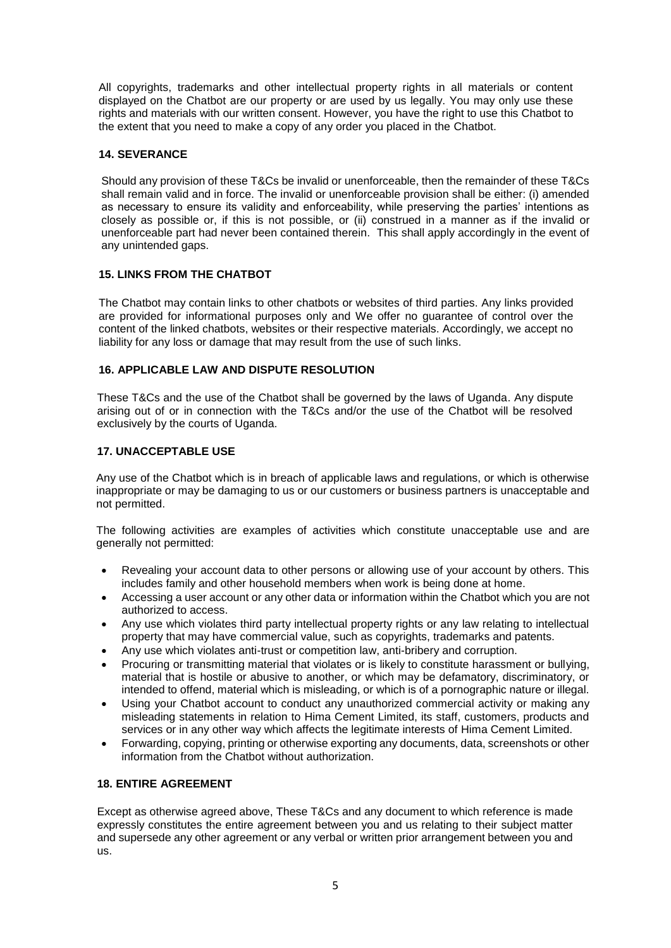All copyrights, trademarks and other intellectual property rights in all materials or content displayed on the Chatbot are our property or are used by us legally. You may only use these rights and materials with our written consent. However, you have the right to use this Chatbot to the extent that you need to make a copy of any order you placed in the Chatbot.

## **14. SEVERANCE**

Should any provision of these T&Cs be invalid or unenforceable, then the remainder of these T&Cs shall remain valid and in force. The invalid or unenforceable provision shall be either: (i) amended as necessary to ensure its validity and enforceability, while preserving the parties' intentions as closely as possible or, if this is not possible, or (ii) construed in a manner as if the invalid or unenforceable part had never been contained therein. This shall apply accordingly in the event of any unintended gaps.

## **15. LINKS FROM THE CHATBOT**

The Chatbot may contain links to other chatbots or websites of third parties. Any links provided are provided for informational purposes only and We offer no guarantee of control over the content of the linked chatbots, websites or their respective materials. Accordingly, we accept no liability for any loss or damage that may result from the use of such links.

## **16. APPLICABLE LAW AND DISPUTE RESOLUTION**

These T&Cs and the use of the Chatbot shall be governed by the laws of Uganda. Any dispute arising out of or in connection with the T&Cs and/or the use of the Chatbot will be resolved exclusively by the courts of Uganda.

### **17. UNACCEPTABLE USE**

Any use of the Chatbot which is in breach of applicable laws and regulations, or which is otherwise inappropriate or may be damaging to us or our customers or business partners is unacceptable and not permitted.

The following activities are examples of activities which constitute unacceptable use and are generally not permitted:

- Revealing your account data to other persons or allowing use of your account by others. This includes family and other household members when work is being done at home.
- Accessing a user account or any other data or information within the Chatbot which you are not authorized to access.
- Any use which violates third party intellectual property rights or any law relating to intellectual property that may have commercial value, such as copyrights, trademarks and patents.
- Any use which violates anti-trust or competition law, anti-bribery and corruption.
- Procuring or transmitting material that violates or is likely to constitute harassment or bullying, material that is hostile or abusive to another, or which may be defamatory, discriminatory, or intended to offend, material which is misleading, or which is of a pornographic nature or illegal.
- Using your Chatbot account to conduct any unauthorized commercial activity or making any misleading statements in relation to Hima Cement Limited, its staff, customers, products and services or in any other way which affects the legitimate interests of Hima Cement Limited.
- Forwarding, copying, printing or otherwise exporting any documents, data, screenshots or other information from the Chatbot without authorization.

### **18. ENTIRE AGREEMENT**

Except as otherwise agreed above, These T&Cs and any document to which reference is made expressly constitutes the entire agreement between you and us relating to their subject matter and supersede any other agreement or any verbal or written prior arrangement between you and us.